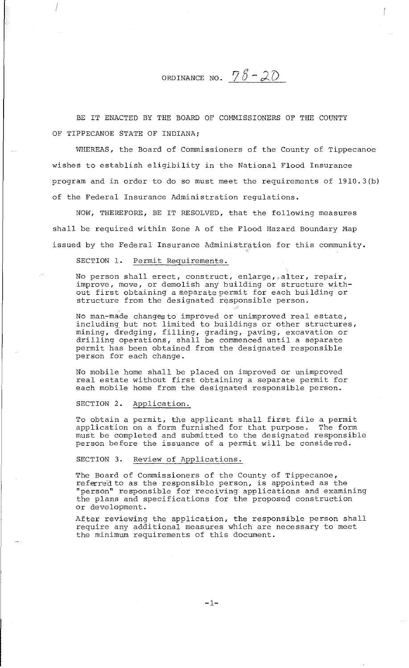ORDINANCE NO.  $78-20$ 

BE IT ENACTED BY THE BOARD OF COMMISSIONERS OF THE COUNTY OF TIPPECANOE STATE OF INDIANA;

WHEREAS, the Board of Commissioners of the County of Tippecanoe wishes to establish eligibility in the National Flood Insurance program and in order to do so must meet the requirements of 1910.3(b) of the Federal Insurance Administration regulations.

NOW, THEREFORE, BE IT RESOLVED, that the following measures shall be required within Zone A of the Flood Hazard Boundary Map issued by the Federal Insurance Administration for this community.

SECTION 1. Permit Requirements.

I

No person shall erect, construct, enlarge, alter, repair, improve, move, or demolish any building or structure without first obtaining a separate permit for each building or structure from the designated responsible person.

No man-made changesto improved or unimproved real estate, including, but not limited to buildings or other structures, mining, dredging, filling, grading, paving, excavation or drilling operations, shall be commenced until a separate permit has been obtained from the designated responsible person for each change.

No mobile home shall be placed on improved or unimproved real estate without first obtaining a separate permit for each mobile home from the designated responsible person.

SECTION 2. Application.

To obtain a permit, the applicant shall first file a permit application on a form furnished for that purpose. The form must be completed and submitted to the designated responsible person before the issuance of a permit will be considered.

SECTION 3. Review of Applications.

The Board of Commissioners of the County of Tippecanoe, referred to as the responsible person, is appointed as the "person" responsible for receiving applications and examining the plans and specifications for the proposed construction or development.

After reviewing the application, the responsible person shall require any additional measures which are necessary to meet the minimum requirements of this document.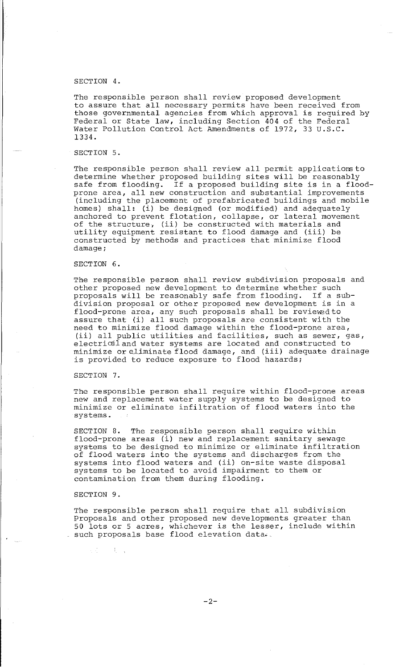### SECTION 4.

The responsible person shall review proposed development to assure that all necessary permits have been received from those governmental agencies from which approval is required by Federal or State law, including Section 404 of the Federal Water Pollution Control Act Amendments of 1972, 33 U.S.C. 1334.

## SECTION 5.

The responsible person shall review all permit applications to determine whether proposed building sites will be reasonably safe from flooding. If a proposed building site is in a floodprone area, all new construction and substantial improvements (including the placement of prefabricated buildings and mobile homes) shall: (i) be designed (or modified) and adequately anchored to prevent flotation, collapse, or lateral movement of the structure, (ii) be constructed with materials and utility equipment resistant to flood damage and (iii) be constructed by methods and practices that minimize flood damage;

#### SECTION 6.

The responsible person shall review subdivision proposals and other proposed new development to determine whether such proposals will be reasonably safe from flooding. If a subdivision proposal or other proposed new development is in a flood-prone area, any such proposals shall be reviewed to assure that (i) all such proposals are consistent with the need to minimize flood damage within the flood-prone area, (ii) all public utilities and facilities, such as sewer, gas, electrical and water systems are located and constructed to efroch the and water by semblare flood can constrable to the minimize or eliminate flood damage, and (iii) adequate drainage is provided to reduce exposure to flood hazards;

## SECTION 7.

The responsible person shall require within flood-prone areas new and replacement water supply systems to be designed to minimize or eliminate infiltration of flood waters into the systems.

SECTION 8. The responsible person shall require within flood-prone areas (i) new and replacement sanitary sewage systems to be designed to minimize or eliminate infiltration of flood waters into the systems and discharges from the systems into flood waters and (ii) on-site waste disposal systems inco froca where and (ii) on site where more contamination from them during flooding.

#### SECTION 9.

The responsible person shall require that all subdivision Proposals and other proposed new developments greater than 50 lots or 5 acres, whichever is the lesser, include within such proposals base flood elevation data•.

 $\frac{1}{2}$ ,  $\frac{1}{2}$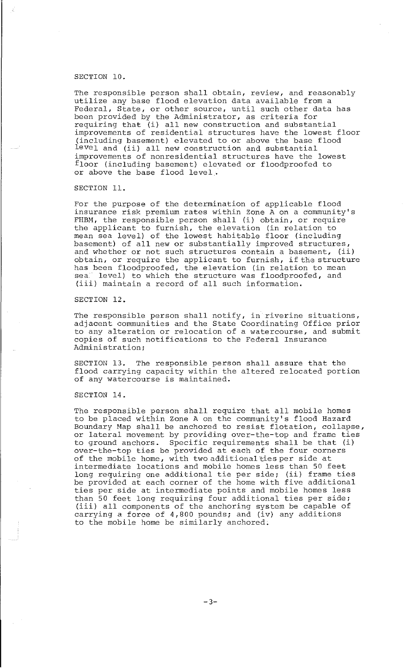## SECTION 10.

The responsible person shall obtain, review, and reasonably utilize any base flood elevation data available from a Federal, State, or other source, until such other data has been provided by the Administrator, as criteria for been provided by the huministrator, as criteria for<br>requiring that (i) all new construction and substantial improvements of residential structures have the lowest floor (including basement) elevated to or above the base flood leve1 and (ii) all new construction and substantial improvements of nonresidential structures have the lowest floor (including basement) elevated or floodproofed to or above the base flood level ..

SECTION 11.

For the purpose of the determination of applicable flood insurance risk premium rates within Zone A on a community's FHBM, the responsible person shall (i) obtain, or require the applicant to furnish, the elevation (in relation to mean sea level) of the lowest habitable floor (including basement) of all new or substantially improved structures, and whether or not such structures contain a basement, (ii) obtain, or require the applicant to furnish, if the structure has been floodproofed, the elevation (in relation to mean<br>seal level) to which the structure was floodproofed, and level) to which the structure was floodproofed, and (iii) maintain a record of all such information.

SECTION 12.

The responsible person shall notify, in riverine situations, adjacent communities and the State Coordinating Office prior to any alteration or relocation of a watercourse, and submit copies of such notifications to the Federal Insurance Administration;

SECTION 13. The responsible person shall assure that the flood carrying capacity within the altered relocated portion of any watercourse is maintained.

# SECTION 14.

The responsible person shall require that all mobile homes to be placed within Zone A on the community's flood Hazard Boundary Map shall be anchored to resist flotation, collapse, or lateral movement by providing over-the-top and frame ties to ground anchors. Specific requirements shall be that (i) over-the-top ties be provided at each of the four corners of the mobile home, with two additional ties per side at intermediate locations and mobile homes less than 50 feet long requiring one additional tie per side; (ii) frame ties be provided at each corner of the home with five additional ties per side at intermediate points and mobile homes less than 50 feet long requiring four additional ties per side; (iii) all components of the anchoring system be capable of carrying a force of 4,800 pounds; and (iv) any additions to the mobile home be similarly anchored;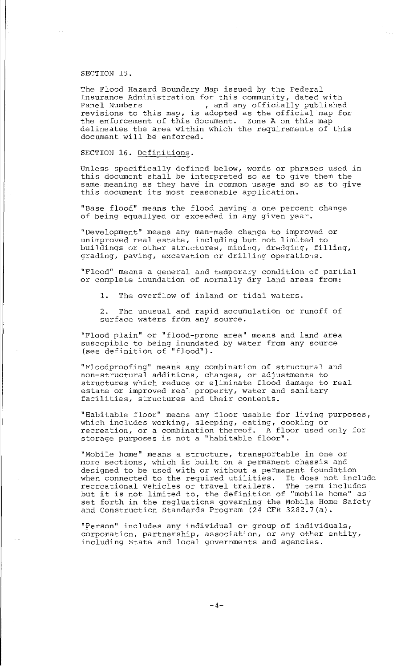#### SECTION 15.

The Flood Hazard Boundary Map issued by the Federal Insurance Administration for this community, dated with<br>Panel Numbers , and any officially published , and any officially published revisions to this map, is adopted as the official map for the enforcement of this document. Zone A on this map delineates the area within which the requirements of this document will be enforced.

## SECTION 16. Definitions.

Unless specifically defined below, words or phrases used in this document shall be interpreted so as to give them the same meaning as they have in common usage and so as to give this document its most reasonable application.

"Base flood" means the flood having a one percent change of being equallyed or exceeded in any given year.

"Development" means any man-made change to improved or unimproved real estate, including but not limited to buildings or other structures, mining, dredging, filling, grading, paving, excavation or drilling operations.

"Flood" means a general and temporary condition of partial or complete inundation of normally dry land areas from:

1. The overflow of inland or tidal waters.

2. The unusual and rapid accumulation or runoff of surface waters from any source.

"Flood plain" or "flood-prone area" means and land area suscepible to being inundated by water from any source (see definition of "flood").

"Floodproofing" means any combination of structural and non-structural additions, changes, or adjustments to structures which reduce or eliminate flood damage to real estate or improved real property, water and sanitary facilities, structures and their contents.

"Habitable floor" means any floor usable for living purposes, which includes working, sleeping, eating, cooking or recreation, or a combination thereof. A floor used only for storage purposes is not a "habitable floor''.

"Mobile home" means a structure, transportable in one or morte nome means a scrascare, cramsportance in one of designed to be used with or without a permanent foundation when connected to the required utilities. It does not include recreational vehicles or travel trailers. The term includes but it is not limited to, the definition of "mobile home" as set forth in the regluations governing the Mobile Home Safety and Construction Standards Program (24 CFR 3282.7(a).

"Person" includes any individual or group of individuals, corponation, partnership, association, or any other entity, including State and local governments and agencies.